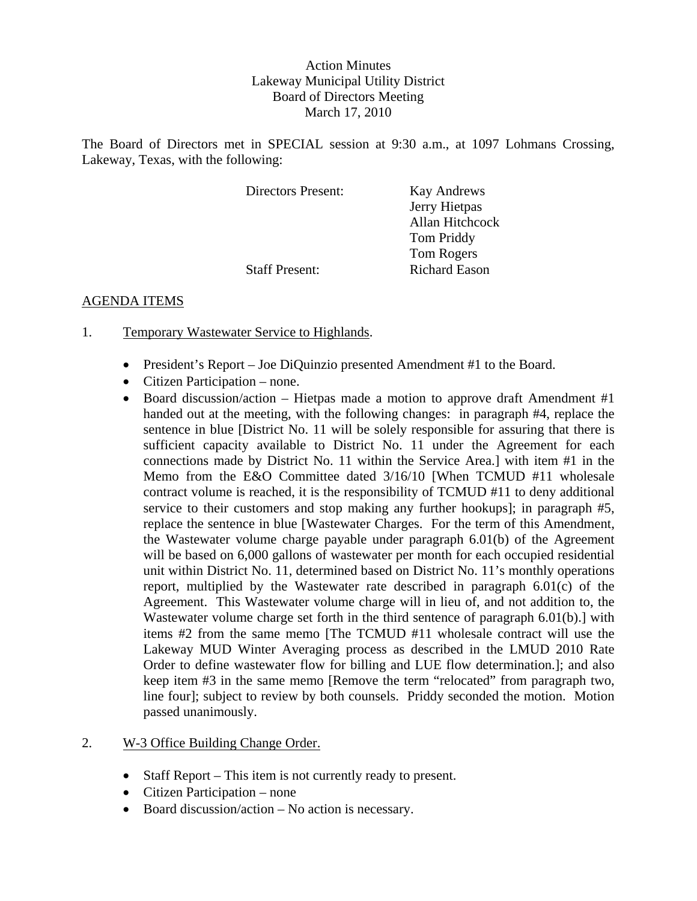## Action Minutes Lakeway Municipal Utility District Board of Directors Meeting March 17, 2010

The Board of Directors met in SPECIAL session at 9:30 a.m., at 1097 Lohmans Crossing, Lakeway, Texas, with the following:

| Directors Present:    | <b>Kay Andrews</b>   |
|-----------------------|----------------------|
|                       | Jerry Hietpas        |
|                       | Allan Hitchcock      |
|                       | <b>Tom Priddy</b>    |
|                       | <b>Tom Rogers</b>    |
| <b>Staff Present:</b> | <b>Richard Eason</b> |

## AGENDA ITEMS

- 1. Temporary Wastewater Service to Highlands.
	- President's Report Joe DiQuinzio presented Amendment #1 to the Board.
	- Citizen Participation none.
	- Board discussion/action Hietpas made a motion to approve draft Amendment  $\#1$ handed out at the meeting, with the following changes: in paragraph #4, replace the sentence in blue [District No. 11 will be solely responsible for assuring that there is sufficient capacity available to District No. 11 under the Agreement for each connections made by District No. 11 within the Service Area.] with item #1 in the Memo from the E&O Committee dated 3/16/10 [When TCMUD #11 wholesale contract volume is reached, it is the responsibility of TCMUD #11 to deny additional service to their customers and stop making any further hookups]; in paragraph #5, replace the sentence in blue [Wastewater Charges. For the term of this Amendment, the Wastewater volume charge payable under paragraph 6.01(b) of the Agreement will be based on 6,000 gallons of wastewater per month for each occupied residential unit within District No. 11, determined based on District No. 11's monthly operations report, multiplied by the Wastewater rate described in paragraph 6.01(c) of the Agreement. This Wastewater volume charge will in lieu of, and not addition to, the Wastewater volume charge set forth in the third sentence of paragraph 6.01(b).] with items #2 from the same memo [The TCMUD #11 wholesale contract will use the Lakeway MUD Winter Averaging process as described in the LMUD 2010 Rate Order to define wastewater flow for billing and LUE flow determination.]; and also keep item #3 in the same memo [Remove the term "relocated" from paragraph two, line four]; subject to review by both counsels. Priddy seconded the motion. Motion passed unanimously.
- 2. W-3 Office Building Change Order.
	- Staff Report This item is not currently ready to present.
	- Citizen Participation none
	- Board discussion/action No action is necessary.